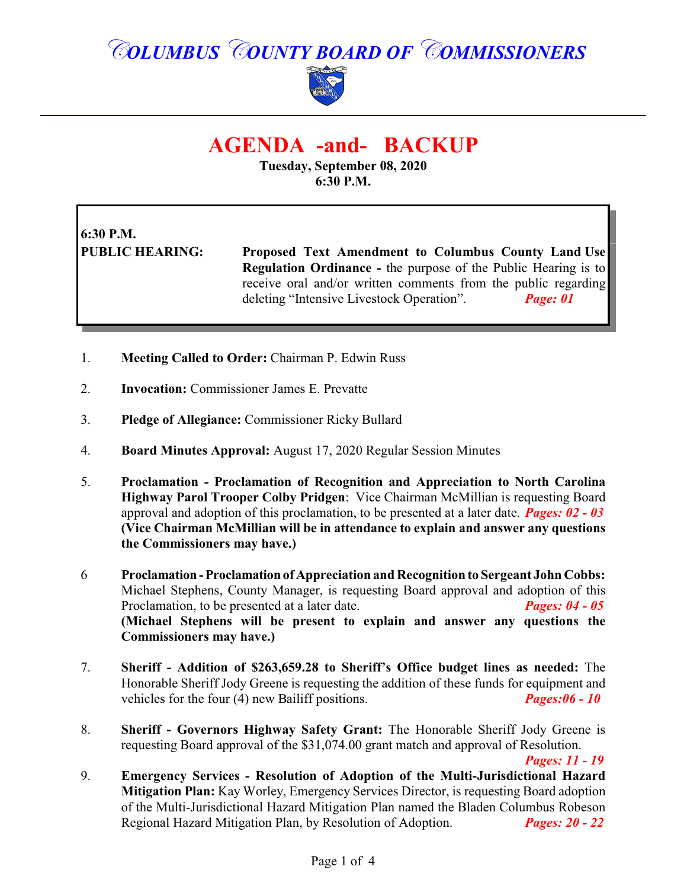## *COLUMBUS COUNTY BOARD OF COMMISSIONERS*



### **AGENDA -and- BACKUP**

**Tuesday, September 08, 2020 6:30 P.M.**

# **6:30 P.M.**

**PUBLIC HEARING: Proposed Text Amendment to Columbus County Land Use Regulation Ordinance -** the purpose of the Public Hearing is to receive oral and/or written comments from the public regarding deleting "Intensive Livestock Operation". *Page: 01*

- 1. **Meeting Called to Order:** Chairman P. Edwin Russ
- 2. **Invocation:** Commissioner James E. Prevatte
- 3. **Pledge of Allegiance:** Commissioner Ricky Bullard
- 4. **Board Minutes Approval:** August 17, 2020 Regular Session Minutes
- 5. **Proclamation Proclamation of Recognition and Appreciation to North Carolina Highway Parol Trooper Colby Pridgen**: Vice Chairman McMillian is requesting Board approval and adoption of this proclamation, to be presented at a later date. *Pages: 02 - 03* **(Vice Chairman McMillian will be in attendance to explain and answer any questions the Commissioners may have.)**

6 **Proclamation -Proclamation of Appreciation and Recognition to Sergeant John Cobbs:** Michael Stephens, County Manager, is requesting Board approval and adoption of this Proclamation, to be presented at a later date. *Pages: 04 - 05* **(Michael Stephens will be present to explain and answer any questions the Commissioners may have.)**

- 7. **Sheriff - Addition of \$263,659.28 to Sheriff's Office budget lines as needed:** The Honorable Sheriff Jody Greene is requesting the addition of these funds for equipment and vehicles for the four (4) new Bailiff positions. *Pages:06 - 10*
- 8. **Sheriff Governors Highway Safety Grant:** The Honorable Sheriff Jody Greene is requesting Board approval of the \$31,074.00 grant match and approval of Resolution.

*Pages: 11 - 19*

9. **Emergency Services - Resolution of Adoption of the Multi-Jurisdictional Hazard Mitigation Plan:** Kay Worley, Emergency Services Director, is requesting Board adoption of the Multi-Jurisdictional Hazard Mitigation Plan named the Bladen Columbus Robeson Regional Hazard Mitigation Plan, by Resolution of Adoption. *Pages: 20 - 22*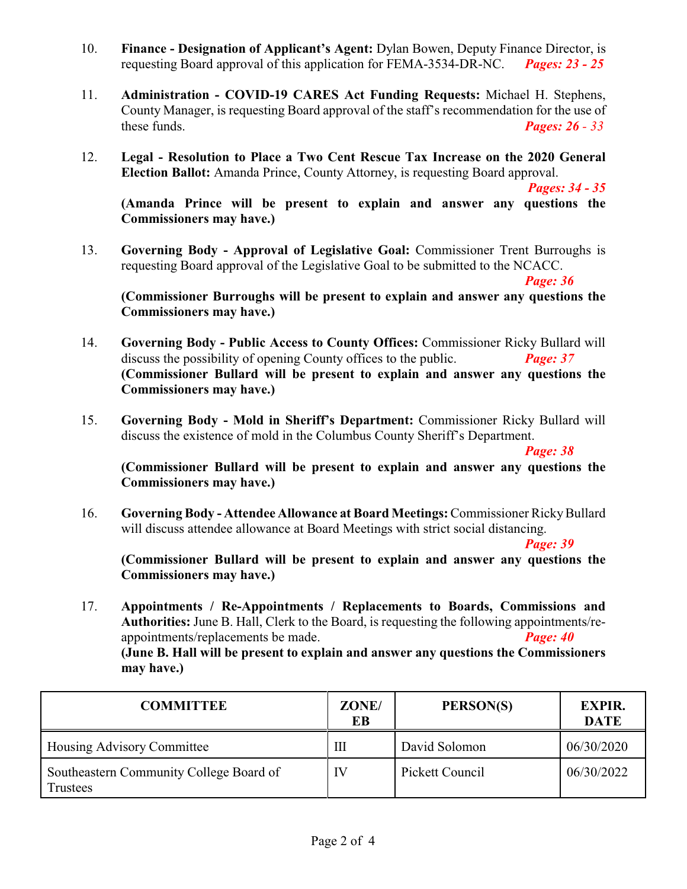- 10. **Finance Designation of Applicant's Agent:** Dylan Bowen, Deputy Finance Director, is requesting Board approval of this application for FEMA-3534-DR-NC. *Pages: 23 - 25*
- 11. **Administration COVID-19 CARES Act Funding Requests:** Michael H. Stephens, County Manager, is requesting Board approval of the staff's recommendation for the use of these funds. *Pages: 26 - 33*
- 12. **Legal Resolution to Place a Two Cent Rescue Tax Increase on the 2020 General Election Ballot:** Amanda Prince, County Attorney, is requesting Board approval.

*Pages: 34 - 35*

**(Amanda Prince will be present to explain and answer any questions the Commissioners may have.)**

13. **Governing Body - Approval of Legislative Goal:** Commissioner Trent Burroughs is requesting Board approval of the Legislative Goal to be submitted to the NCACC.

*Page: 36*

**(Commissioner Burroughs will be present to explain and answer any questions the Commissioners may have.)**

- 14. **Governing Body Public Access to County Offices:** Commissioner Ricky Bullard will discuss the possibility of opening County offices to the public. *Page: 37* **(Commissioner Bullard will be present to explain and answer any questions the Commissioners may have.)**
- 15. **Governing Body - Mold in Sheriff's Department:** Commissioner Ricky Bullard will discuss the existence of mold in the Columbus County Sheriff's Department.

*Page: 38*

**(Commissioner Bullard will be present to explain and answer any questions the Commissioners may have.)**

16. **Governing Body - Attendee Allowance at Board Meetings:**Commissioner RickyBullard will discuss attendee allowance at Board Meetings with strict social distancing.

*Page: 39*

**(Commissioner Bullard will be present to explain and answer any questions the Commissioners may have.)**

17. **Appointments / Re-Appointments / Replacements to Boards, Commissions and Authorities:** June B. Hall, Clerk to the Board, is requesting the following appointments/reappointments/replacements be made. *Page: 40*  **(June B. Hall will be present to explain and answer any questions the Commissioners may have.)**

**COMMITTEE ZONE/ EB PERSON(S) EXPIR. DATE** Housing Advisory Committee III David Solomon 06/30/2020 Southeastern Community College Board of Trustees IV Pickett Council 06/30/2022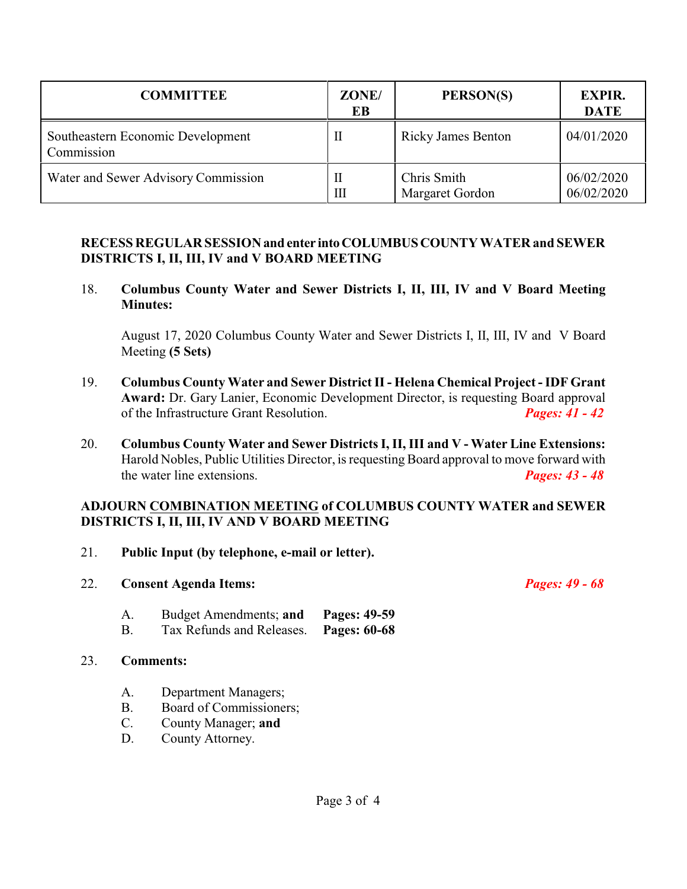| <b>COMMITTEE</b>                                | ZONE/<br>EB  | PERSON(S)                      | <b>EXPIR.</b><br><b>DATE</b> |
|-------------------------------------------------|--------------|--------------------------------|------------------------------|
| Southeastern Economic Development<br>Commission |              | <b>Ricky James Benton</b>      | 04/01/2020                   |
| Water and Sewer Advisory Commission             | $\mathbf{I}$ | Chris Smith<br>Margaret Gordon | 06/02/2020<br>06/02/2020     |

#### **RECESS REGULAR SESSIONand enter intoCOLUMBUSCOUNTY WATER and SEWER DISTRICTS I, II, III, IV and V BOARD MEETING**

18. **Columbus County Water and Sewer Districts I, II, III, IV and V Board Meeting Minutes:**

August 17, 2020 Columbus County Water and Sewer Districts I, II, III, IV and V Board Meeting **(5 Sets)**

- 19. **Columbus County Water and Sewer District II Helena Chemical Project IDF Grant Award:** Dr. Gary Lanier, Economic Development Director, is requesting Board approval of the Infrastructure Grant Resolution. *Pages: 41 - 42*
- 20. **Columbus County Water and Sewer Districts I, II, III and V Water Line Extensions:** Harold Nobles, Public Utilities Director, is requesting Board approval to move forward with the water line extensions. *Pages: 43 - 48*

#### **ADJOURN COMBINATION MEETING of COLUMBUS COUNTY WATER and SEWER DISTRICTS I, II, III, IV AND V BOARD MEETING**

- 21. **Public Input (by telephone, e-mail or letter).**
- 22. **Consent Agenda Items:** *Pages: 49 68*
	-
	- A. Budget Amendments; **and Pages: 49-59**
	- B. Tax Refunds and Releases. **Pages: 60-68**

#### 23. **Comments:**

- A. Department Managers;
- B. Board of Commissioners;<br>C. County Manager: **and**
- County Manager; and
- D. County Attorney.